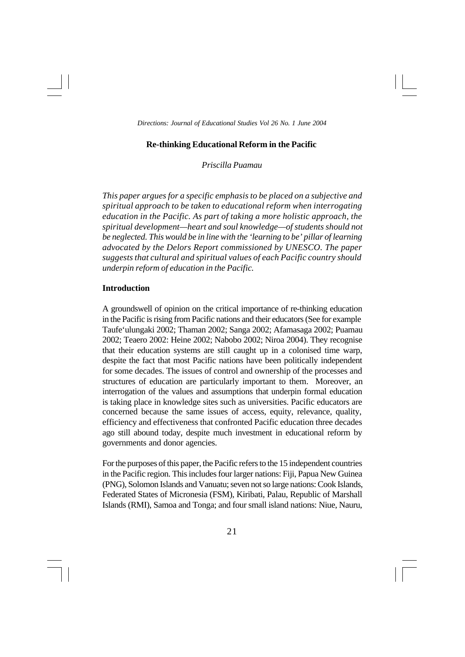## **Re-thinking Educational Reform in the Pacific**

*Priscilla Puamau*

*This paper argues for a specific emphasis to be placed on a subjective and spiritual approach to be taken to educational reform when interrogating education in the Pacific. As part of taking a more holistic approach, the spiritual development—heart and soul knowledge—of students should not be neglected. This would be in line with the 'learning to be' pillar of learning advocated by the Delors Report commissioned by UNESCO. The paper suggests that cultural and spiritual values of each Pacific country should underpin reform of education in the Pacific.*

## **Introduction**

A groundswell of opinion on the critical importance of re-thinking education in the Pacific is rising from Pacific nations and their educators (See for example Taufe'ulungaki 2002; Thaman 2002; Sanga 2002; Afamasaga 2002; Puamau 2002; Teaero 2002: Heine 2002; Nabobo 2002; Niroa 2004). They recognise that their education systems are still caught up in a colonised time warp, despite the fact that most Pacific nations have been politically independent for some decades. The issues of control and ownership of the processes and structures of education are particularly important to them. Moreover, an interrogation of the values and assumptions that underpin formal education is taking place in knowledge sites such as universities. Pacific educators are concerned because the same issues of access, equity, relevance, quality, efficiency and effectiveness that confronted Pacific education three decades ago still abound today, despite much investment in educational reform by governments and donor agencies.

For the purposes of this paper, the Pacific refers to the 15 independent countries in the Pacific region. This includes four larger nations: Fiji, Papua New Guinea (PNG), Solomon Islands and Vanuatu; seven not so large nations: Cook Islands, Federated States of Micronesia (FSM), Kiribati, Palau, Republic of Marshall Islands (RMI), Samoa and Tonga; and four small island nations: Niue, Nauru,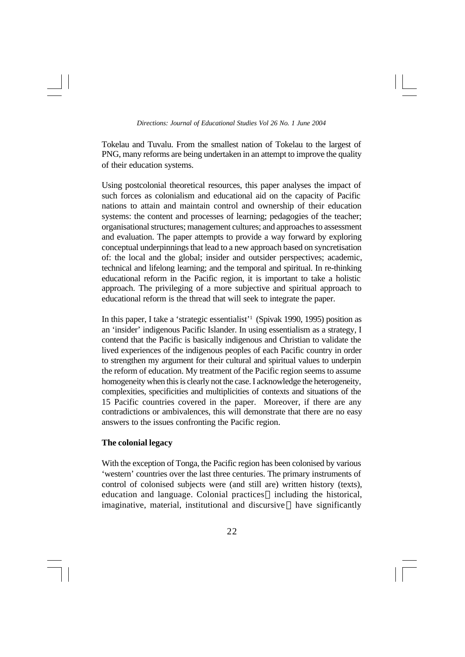Tokelau and Tuvalu. From the smallest nation of Tokelau to the largest of PNG, many reforms are being undertaken in an attempt to improve the quality of their education systems.

Using postcolonial theoretical resources, this paper analyses the impact of such forces as colonialism and educational aid on the capacity of Pacific nations to attain and maintain control and ownership of their education systems: the content and processes of learning; pedagogies of the teacher; organisational structures; management cultures; and approaches to assessment and evaluation. The paper attempts to provide a way forward by exploring conceptual underpinnings that lead to a new approach based on syncretisation of: the local and the global; insider and outsider perspectives; academic, technical and lifelong learning; and the temporal and spiritual. In re-thinking educational reform in the Pacific region, it is important to take a holistic approach. The privileging of a more subjective and spiritual approach to educational reform is the thread that will seek to integrate the paper.

In this paper, I take a 'strategic essentialist'<sup>1</sup> (Spivak 1990, 1995) position as an 'insider' indigenous Pacific Islander. In using essentialism as a strategy, I contend that the Pacific is basically indigenous and Christian to validate the lived experiences of the indigenous peoples of each Pacific country in order to strengthen my argument for their cultural and spiritual values to underpin the reform of education. My treatment of the Pacific region seems to assume homogeneity when this is clearly not the case. I acknowledge the heterogeneity, complexities, specificities and multiplicities of contexts and situations of the 15 Pacific countries covered in the paper. Moreover, if there are any contradictions or ambivalences, this will demonstrate that there are no easy answers to the issues confronting the Pacific region.

# **The colonial legacy**

With the exception of Tonga, the Pacific region has been colonised by various 'western' countries over the last three centuries. The primary instruments of control of colonised subjects were (and still are) written history (texts), education and language. Colonial practices—including the historical, imaginative, material, institutional and discursive—have significantly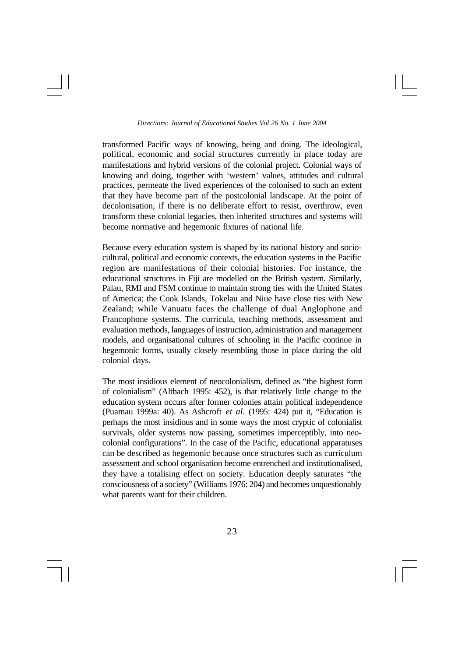transformed Pacific ways of knowing, being and doing. The ideological, political, economic and social structures currently in place today are manifestations and hybrid versions of the colonial project. Colonial ways of knowing and doing, together with 'western' values, attitudes and cultural practices, permeate the lived experiences of the colonised to such an extent that they have become part of the postcolonial landscape. At the point of decolonisation, if there is no deliberate effort to resist, overthrow, even transform these colonial legacies, then inherited structures and systems will become normative and hegemonic fixtures of national life.

Because every education system is shaped by its national history and sociocultural, political and economic contexts, the education systems in the Pacific region are manifestations of their colonial histories. For instance, the educational structures in Fiji are modelled on the British system. Similarly, Palau, RMI and FSM continue to maintain strong ties with the United States of America; the Cook Islands, Tokelau and Niue have close ties with New Zealand; while Vanuatu faces the challenge of dual Anglophone and Francophone systems. The curricula, teaching methods, assessment and evaluation methods, languages of instruction, administration and management models, and organisational cultures of schooling in the Pacific continue in hegemonic forms, usually closely resembling those in place during the old colonial days.

The most insidious element of neocolonialism, defined as "the highest form of colonialism" (Altbach 1995: 452), is that relatively little change to the education system occurs after former colonies attain political independence (Puamau 1999a: 40). As Ashcroft *et al.* (1995: 424) put it, "Education is perhaps the most insidious and in some ways the most cryptic of colonialist survivals, older systems now passing, sometimes imperceptibly, into neocolonial configurations". In the case of the Pacific, educational apparatuses can be described as hegemonic because once structures such as curriculum assessment and school organisation become entrenched and institutionalised, they have a totalising effect on society. Education deeply saturates "the consciousness of a society" (Williams 1976: 204) and becomes unquestionably what parents want for their children.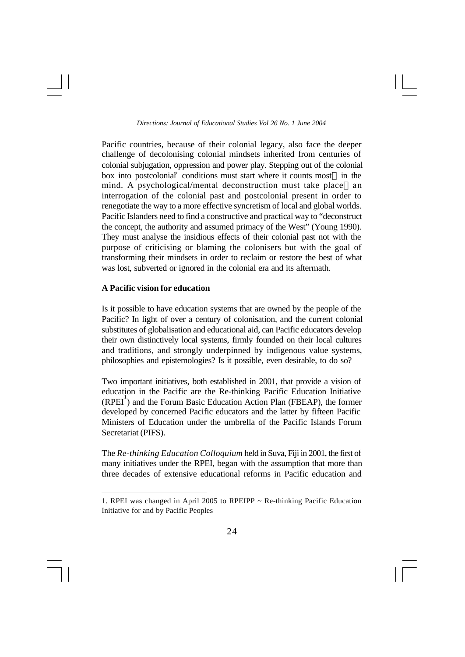Pacific countries, because of their colonial legacy, also face the deeper challenge of decolonising colonial mindsets inherited from centuries of colonial subjugation, oppression and power play. Stepping out of the colonial box into postcolonial conditions must start where it counts most-in the mind. A psychological/mental deconstruction must take place—an interrogation of the colonial past and postcolonial present in order to renegotiate the way to a more effective syncretism of local and global worlds. Pacific Islanders need to find a constructive and practical way to "deconstruct the concept, the authority and assumed primacy of the West" (Young 1990). They must analyse the insidious effects of their colonial past not with the purpose of criticising or blaming the colonisers but with the goal of transforming their mindsets in order to reclaim or restore the best of what was lost, subverted or ignored in the colonial era and its aftermath.

## **A Pacific vision for education**

Is it possible to have education systems that are owned by the people of the Pacific? In light of over a century of colonisation, and the current colonial substitutes of globalisation and educational aid, can Pacific educators develop their own distinctively local systems, firmly founded on their local cultures and traditions, and strongly underpinned by indigenous value systems, philosophies and epistemologies? Is it possible, even desirable, to do so?

Two important initiatives, both established in 2001, that provide a vision of education in the Pacific are the Re-thinking Pacific Education Initiative  $(RPEI<sup>1</sup>)$  and the Forum Basic Education Action Plan (FBEAP), the former developed by concerned Pacific educators and the latter by fifteen Pacific Ministers of Education under the umbrella of the Pacific Islands Forum Secretariat (PIFS).

The *Re-thinking Education Colloquium* held in Suva, Fiji in 2001, the first of many initiatives under the RPEI, began with the assumption that more than three decades of extensive educational reforms in Pacific education and

<sup>1.</sup> RPEI was changed in April 2005 to RPEIPP  $\sim$  Re-thinking Pacific Education Initiative for and by Pacific Peoples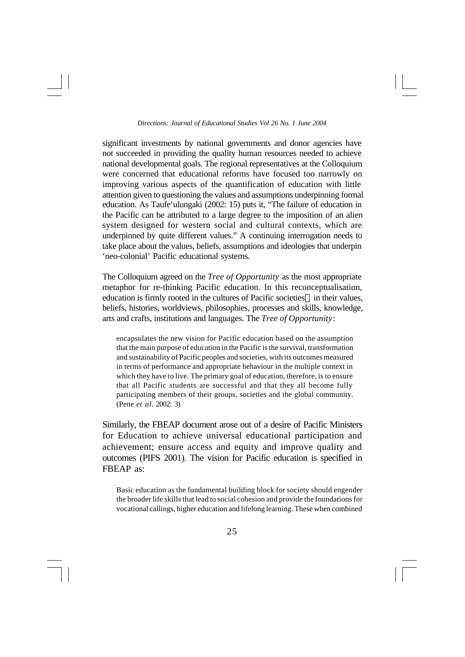significant investments by national governments and donor agencies have not succeeded in providing the quality human resources needed to achieve national developmental goals. The regional representatives at the Colloquium were concerned that educational reforms have focused too narrowly on improving various aspects of the quantification of education with little attention given to questioning the values and assumptions underpinning formal education. As Taufe'ulungaki (2002: 15) puts it, "The failure of education in the Pacific can be attributed to a large degree to the imposition of an alien system designed for western social and cultural contexts, which are underpinned by quite different values." A continuing interrogation needs to take place about the values, beliefs, assumptions and ideologies that underpin 'neo-colonial' Pacific educational systems.

The Colloquium agreed on the *Tree of Opportunity* as the most appropriate metaphor for re-thinking Pacific education. In this reconceptualisation, education is firmly rooted in the cultures of Pacific societies—in their values, beliefs, histories, worldviews, philosophies, processes and skills, knowledge, arts and crafts, institutions and languages. The *Tree of Opportunity*:

encapsulates the new vision for Pacific education based on the assumption that the main purpose of education in the Pacific is the survival, transformation and sustainability of Pacific peoples and societies, with its outcomes measured in terms of performance and appropriate behaviour in the multiple context in which they have to live. The primary goal of education, therefore, is to ensure that all Pacific students are successful and that they all become fully participating members of their groups, societies and the global community. (Pene *et al.* 2002: 3)

Similarly, the FBEAP document arose out of a desire of Pacific Ministers for Education to achieve universal educational participation and achievement; ensure access and equity and improve quality and outcomes (PIFS 2001). The vision for Pacific education is specified in FBEAP as:

Basic education as the fundamental building block for society should engender the broader life skills that lead to social cohesion and provide the foundations for vocational callings, higher education and lifelong learning. These when combined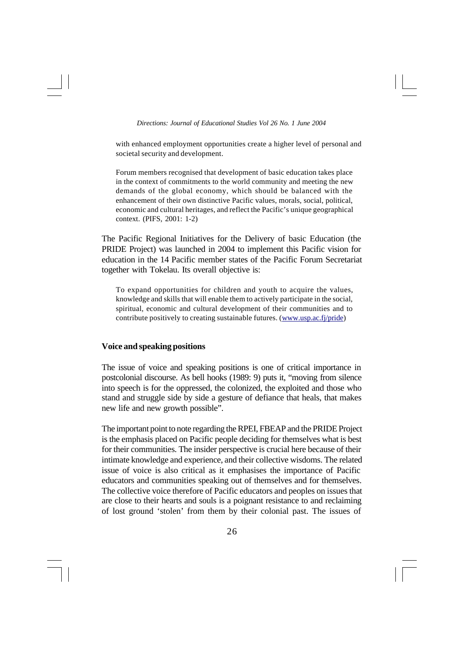with enhanced employment opportunities create a higher level of personal and societal security and development.

Forum members recognised that development of basic education takes place in the context of commitments to the world community and meeting the new demands of the global economy, which should be balanced with the enhancement of their own distinctive Pacific values, morals, social, political, economic and cultural heritages, and reflect the Pacific's unique geographical context. (PIFS, 2001: 1-2)

The Pacific Regional Initiatives for the Delivery of basic Education (the PRIDE Project) was launched in 2004 to implement this Pacific vision for education in the 14 Pacific member states of the Pacific Forum Secretariat together with Tokelau. Its overall objective is:

To expand opportunities for children and youth to acquire the values, knowledge and skills that will enable them to actively participate in the social, spiritual, economic and cultural development of their communities and to contribute positively to creating sustainable futures. (www.usp.ac.fj/pride)

## **Voice and speaking positions**

The issue of voice and speaking positions is one of critical importance in postcolonial discourse. As bell hooks (1989: 9) puts it, "moving from silence into speech is for the oppressed, the colonized, the exploited and those who stand and struggle side by side a gesture of defiance that heals, that makes new life and new growth possible".

The important point to note regarding the RPEI, FBEAP and the PRIDE Project is the emphasis placed on Pacific people deciding for themselves what is best for their communities. The insider perspective is crucial here because of their intimate knowledge and experience, and their collective wisdoms. The related issue of voice is also critical as it emphasises the importance of Pacific educators and communities speaking out of themselves and for themselves. The collective voice therefore of Pacific educators and peoples on issues that are close to their hearts and souls is a poignant resistance to and reclaiming of lost ground 'stolen' from them by their colonial past. The issues of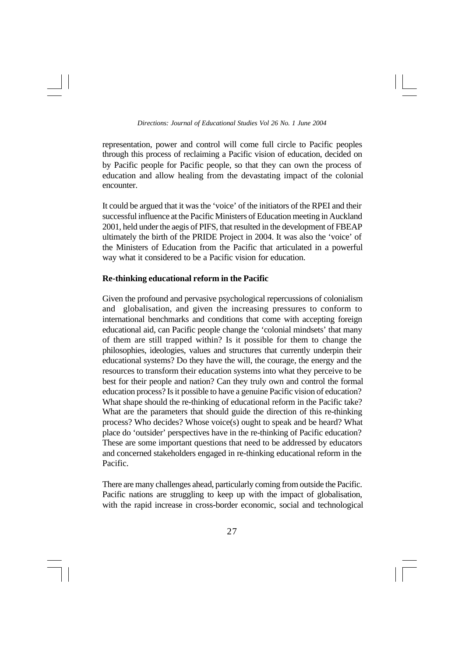representation, power and control will come full circle to Pacific peoples through this process of reclaiming a Pacific vision of education, decided on by Pacific people for Pacific people, so that they can own the process of education and allow healing from the devastating impact of the colonial encounter.

It could be argued that it was the 'voice' of the initiators of the RPEI and their successful influence at the Pacific Ministers of Education meeting in Auckland 2001, held under the aegis of PIFS, that resulted in the development of FBEAP ultimately the birth of the PRIDE Project in 2004. It was also the 'voice' of the Ministers of Education from the Pacific that articulated in a powerful way what it considered to be a Pacific vision for education.

# **Re-thinking educational reform in the Pacific**

Given the profound and pervasive psychological repercussions of colonialism and globalisation, and given the increasing pressures to conform to international benchmarks and conditions that come with accepting foreign educational aid, can Pacific people change the 'colonial mindsets' that many of them are still trapped within? Is it possible for them to change the philosophies, ideologies, values and structures that currently underpin their educational systems? Do they have the will, the courage, the energy and the resources to transform their education systems into what they perceive to be best for their people and nation? Can they truly own and control the formal education process? Is it possible to have a genuine Pacific vision of education? What shape should the re-thinking of educational reform in the Pacific take? What are the parameters that should guide the direction of this re-thinking process? Who decides? Whose voice(s) ought to speak and be heard? What place do 'outsider' perspectives have in the re-thinking of Pacific education? These are some important questions that need to be addressed by educators and concerned stakeholders engaged in re-thinking educational reform in the Pacific.

There are many challenges ahead, particularly coming from outside the Pacific. Pacific nations are struggling to keep up with the impact of globalisation, with the rapid increase in cross-border economic, social and technological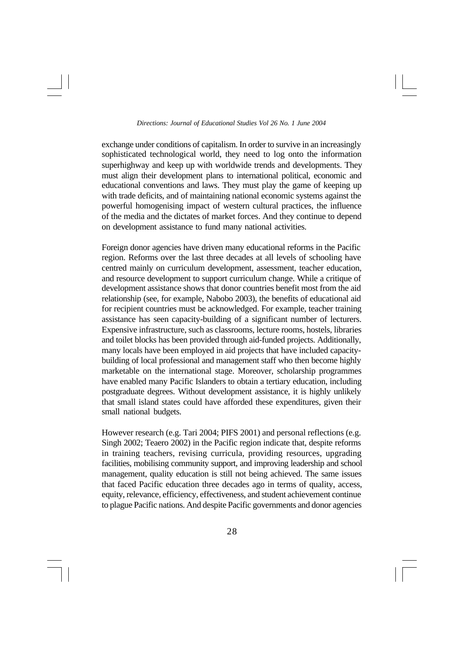exchange under conditions of capitalism. In order to survive in an increasingly sophisticated technological world, they need to log onto the information superhighway and keep up with worldwide trends and developments. They must align their development plans to international political, economic and educational conventions and laws. They must play the game of keeping up with trade deficits, and of maintaining national economic systems against the powerful homogenising impact of western cultural practices, the influence of the media and the dictates of market forces. And they continue to depend on development assistance to fund many national activities.

Foreign donor agencies have driven many educational reforms in the Pacific region. Reforms over the last three decades at all levels of schooling have centred mainly on curriculum development, assessment, teacher education, and resource development to support curriculum change. While a critique of development assistance shows that donor countries benefit most from the aid relationship (see, for example, Nabobo 2003), the benefits of educational aid for recipient countries must be acknowledged. For example, teacher training assistance has seen capacity-building of a significant number of lecturers. Expensive infrastructure, such as classrooms, lecture rooms, hostels, libraries and toilet blocks has been provided through aid-funded projects. Additionally, many locals have been employed in aid projects that have included capacitybuilding of local professional and management staff who then become highly marketable on the international stage. Moreover, scholarship programmes have enabled many Pacific Islanders to obtain a tertiary education, including postgraduate degrees. Without development assistance, it is highly unlikely that small island states could have afforded these expenditures, given their small national budgets.

However research (e.g. Tari 2004; PIFS 2001) and personal reflections (e.g. Singh 2002; Teaero 2002) in the Pacific region indicate that, despite reforms in training teachers, revising curricula, providing resources, upgrading facilities, mobilising community support, and improving leadership and school management, quality education is still not being achieved. The same issues that faced Pacific education three decades ago in terms of quality, access, equity, relevance, efficiency, effectiveness, and student achievement continue to plague Pacific nations. And despite Pacific governments and donor agencies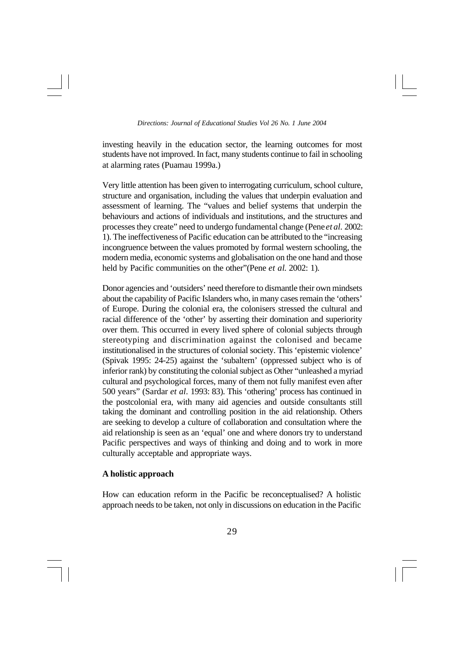investing heavily in the education sector, the learning outcomes for most students have not improved. In fact, many students continue to fail in schooling at alarming rates (Puamau 1999a.)

Very little attention has been given to interrogating curriculum, school culture, structure and organisation, including the values that underpin evaluation and assessment of learning. The "values and belief systems that underpin the behaviours and actions of individuals and institutions, and the structures and processes they create" need to undergo fundamental change (Pene *et al.* 2002: 1). The ineffectiveness of Pacific education can be attributed to the "increasing incongruence between the values promoted by formal western schooling, the modern media, economic systems and globalisation on the one hand and those held by Pacific communities on the other"(Pene *et al*. 2002: 1).

Donor agencies and 'outsiders' need therefore to dismantle their own mindsets about the capability of Pacific Islanders who, in many cases remain the 'others' of Europe. During the colonial era, the colonisers stressed the cultural and racial difference of the 'other' by asserting their domination and superiority over them. This occurred in every lived sphere of colonial subjects through stereotyping and discrimination against the colonised and became institutionalised in the structures of colonial society. This 'epistemic violence' (Spivak 1995: 24-25) against the 'subaltern' (oppressed subject who is of inferior rank) by constituting the colonial subject as Other "unleashed a myriad cultural and psychological forces, many of them not fully manifest even after 500 years" (Sardar *et al.* 1993: 83). This 'othering' process has continued in the postcolonial era, with many aid agencies and outside consultants still taking the dominant and controlling position in the aid relationship. Others are seeking to develop a culture of collaboration and consultation where the aid relationship is seen as an 'equal' one and where donors try to understand Pacific perspectives and ways of thinking and doing and to work in more culturally acceptable and appropriate ways.

## **A holistic approach**

How can education reform in the Pacific be reconceptualised? A holistic approach needs to be taken, not only in discussions on education in the Pacific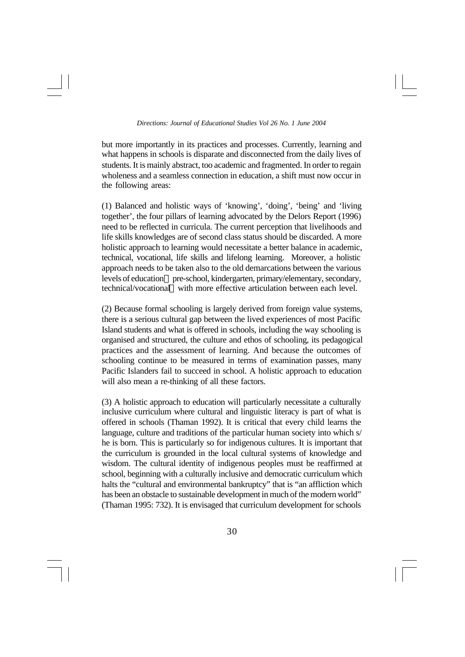but more importantly in its practices and processes. Currently, learning and what happens in schools is disparate and disconnected from the daily lives of students. It is mainly abstract, too academic and fragmented. In order to regain wholeness and a seamless connection in education, a shift must now occur in the following areas:

(1) Balanced and holistic ways of 'knowing', 'doing', 'being' and 'living together', the four pillars of learning advocated by the Delors Report (1996) need to be reflected in curricula. The current perception that livelihoods and life skills knowledges are of second class status should be discarded. A more holistic approach to learning would necessitate a better balance in academic, technical, vocational, life skills and lifelong learning. Moreover, a holistic approach needs to be taken also to the old demarcations between the various levels of education—pre-school, kindergarten, primary/elementary, secondary, technical/vocational—with more effective articulation between each level.

(2) Because formal schooling is largely derived from foreign value systems, there is a serious cultural gap between the lived experiences of most Pacific Island students and what is offered in schools, including the way schooling is organised and structured, the culture and ethos of schooling, its pedagogical practices and the assessment of learning. And because the outcomes of schooling continue to be measured in terms of examination passes, many Pacific Islanders fail to succeed in school. A holistic approach to education will also mean a re-thinking of all these factors.

(3) A holistic approach to education will particularly necessitate a culturally inclusive curriculum where cultural and linguistic literacy is part of what is offered in schools (Thaman 1992). It is critical that every child learns the language, culture and traditions of the particular human society into which s/ he is born. This is particularly so for indigenous cultures. It is important that the curriculum is grounded in the local cultural systems of knowledge and wisdom. The cultural identity of indigenous peoples must be reaffirmed at school, beginning with a culturally inclusive and democratic curriculum which halts the "cultural and environmental bankruptcy" that is "an affliction which has been an obstacle to sustainable development in much of the modern world" (Thaman 1995: 732). It is envisaged that curriculum development for schools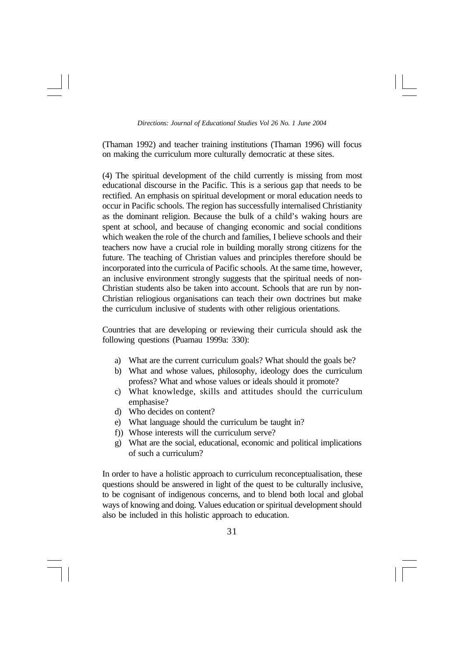(Thaman 1992) and teacher training institutions (Thaman 1996) will focus on making the curriculum more culturally democratic at these sites.

(4) The spiritual development of the child currently is missing from most educational discourse in the Pacific. This is a serious gap that needs to be rectified. An emphasis on spiritual development or moral education needs to occur in Pacific schools. The region has successfully internalised Christianity as the dominant religion. Because the bulk of a child's waking hours are spent at school, and because of changing economic and social conditions which weaken the role of the church and families, I believe schools and their teachers now have a crucial role in building morally strong citizens for the future. The teaching of Christian values and principles therefore should be incorporated into the curricula of Pacific schools. At the same time, however, an inclusive environment strongly suggests that the spiritual needs of non-Christian students also be taken into account. Schools that are run by non-Christian reliogious organisations can teach their own doctrines but make the curriculum inclusive of students with other religious orientations.

Countries that are developing or reviewing their curricula should ask the following questions (Puamau 1999a: 330):

- a) What are the current curriculum goals? What should the goals be?
- b) What and whose values, philosophy, ideology does the curriculum profess? What and whose values or ideals should it promote?
- c) What knowledge, skills and attitudes should the curriculum emphasise?
- d) Who decides on content?
- e) What language should the curriculum be taught in?
- f)) Whose interests will the curriculum serve?
- g) What are the social, educational, economic and political implications of such a curriculum?

In order to have a holistic approach to curriculum reconceptualisation, these questions should be answered in light of the quest to be culturally inclusive, to be cognisant of indigenous concerns, and to blend both local and global ways of knowing and doing. Values education or spiritual development should also be included in this holistic approach to education.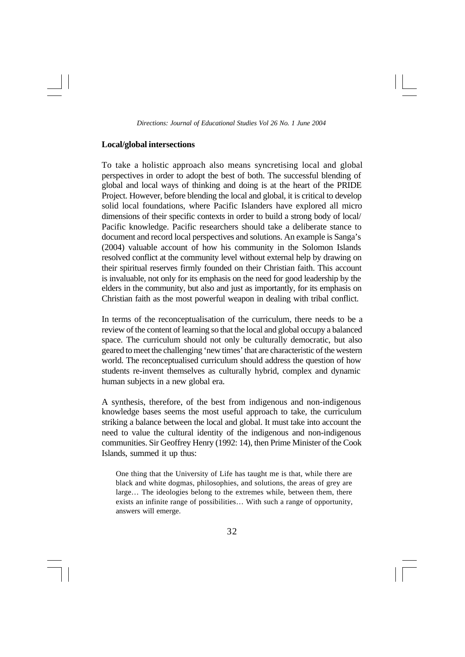## **Local/global intersections**

To take a holistic approach also means syncretising local and global perspectives in order to adopt the best of both. The successful blending of global and local ways of thinking and doing is at the heart of the PRIDE Project. However, before blending the local and global, it is critical to develop solid local foundations, where Pacific Islanders have explored all micro dimensions of their specific contexts in order to build a strong body of local/ Pacific knowledge. Pacific researchers should take a deliberate stance to document and record local perspectives and solutions. An example is Sanga's (2004) valuable account of how his community in the Solomon Islands resolved conflict at the community level without external help by drawing on their spiritual reserves firmly founded on their Christian faith. This account is invaluable, not only for its emphasis on the need for good leadership by the elders in the community, but also and just as importantly, for its emphasis on Christian faith as the most powerful weapon in dealing with tribal conflict.

In terms of the reconceptualisation of the curriculum, there needs to be a review of the content of learning so that the local and global occupy a balanced space. The curriculum should not only be culturally democratic, but also geared to meet the challenging 'new times' that are characteristic of the western world. The reconceptualised curriculum should address the question of how students re-invent themselves as culturally hybrid, complex and dynamic human subjects in a new global era.

A synthesis, therefore, of the best from indigenous and non-indigenous knowledge bases seems the most useful approach to take, the curriculum striking a balance between the local and global. It must take into account the need to value the cultural identity of the indigenous and non-indigenous communities. Sir Geoffrey Henry (1992: 14), then Prime Minister of the Cook Islands, summed it up thus:

One thing that the University of Life has taught me is that, while there are black and white dogmas, philosophies, and solutions, the areas of grey are large… The ideologies belong to the extremes while, between them, there exists an infinite range of possibilities… With such a range of opportunity, answers will emerge.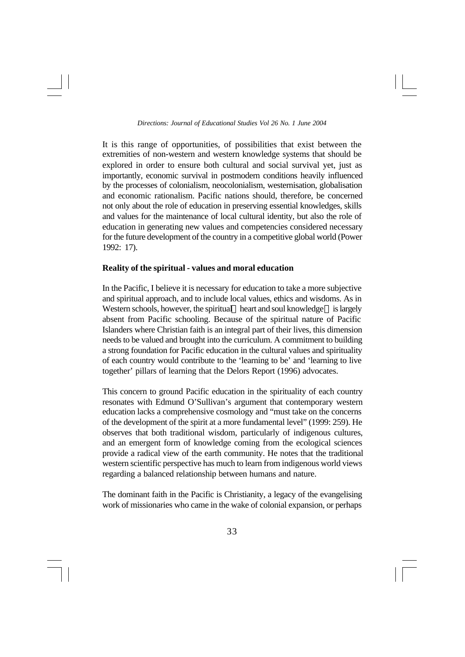It is this range of opportunities, of possibilities that exist between the extremities of non-western and western knowledge systems that should be explored in order to ensure both cultural and social survival yet, just as importantly, economic survival in postmodern conditions heavily influenced by the processes of colonialism, neocolonialism, westernisation, globalisation and economic rationalism. Pacific nations should, therefore, be concerned not only about the role of education in preserving essential knowledges, skills and values for the maintenance of local cultural identity, but also the role of education in generating new values and competencies considered necessary for the future development of the country in a competitive global world (Power 1992: 17).

## **Reality of the spiritual - values and moral education**

In the Pacific, I believe it is necessary for education to take a more subjective and spiritual approach, and to include local values, ethics and wisdoms. As in Western schools, however, the spiritual—heart and soul knowledge—is largely absent from Pacific schooling. Because of the spiritual nature of Pacific Islanders where Christian faith is an integral part of their lives, this dimension needs to be valued and brought into the curriculum. A commitment to building a strong foundation for Pacific education in the cultural values and spirituality of each country would contribute to the 'learning to be' and 'learning to live together' pillars of learning that the Delors Report (1996) advocates.

This concern to ground Pacific education in the spirituality of each country resonates with Edmund O'Sullivan's argument that contemporary western education lacks a comprehensive cosmology and "must take on the concerns of the development of the spirit at a more fundamental level" (1999: 259). He observes that both traditional wisdom, particularly of indigenous cultures, and an emergent form of knowledge coming from the ecological sciences provide a radical view of the earth community. He notes that the traditional western scientific perspective has much to learn from indigenous world views regarding a balanced relationship between humans and nature.

The dominant faith in the Pacific is Christianity, a legacy of the evangelising work of missionaries who came in the wake of colonial expansion, or perhaps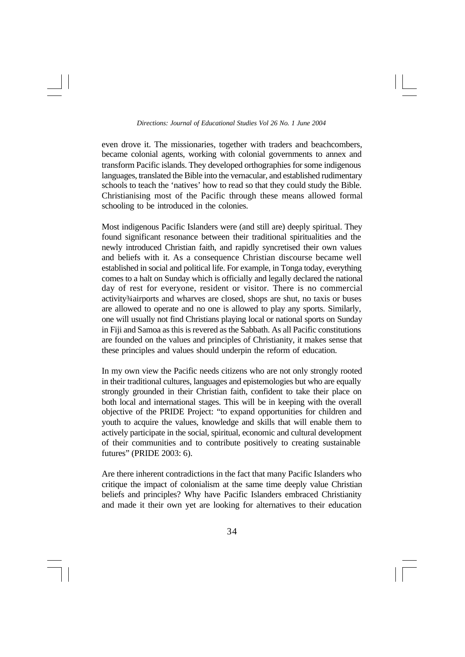even drove it. The missionaries, together with traders and beachcombers, became colonial agents, working with colonial governments to annex and transform Pacific islands. They developed orthographies for some indigenous languages, translated the Bible into the vernacular, and established rudimentary schools to teach the 'natives' how to read so that they could study the Bible. Christianising most of the Pacific through these means allowed formal schooling to be introduced in the colonies.

Most indigenous Pacific Islanders were (and still are) deeply spiritual. They found significant resonance between their traditional spiritualities and the newly introduced Christian faith, and rapidly syncretised their own values and beliefs with it. As a consequence Christian discourse became well established in social and political life. For example, in Tonga today, everything comes to a halt on Sunday which is officially and legally declared the national day of rest for everyone, resident or visitor. There is no commercial activity¾airports and wharves are closed, shops are shut, no taxis or buses are allowed to operate and no one is allowed to play any sports. Similarly, one will usually not find Christians playing local or national sports on Sunday in Fiji and Samoa as this is revered as the Sabbath. As all Pacific constitutions are founded on the values and principles of Christianity, it makes sense that these principles and values should underpin the reform of education.

In my own view the Pacific needs citizens who are not only strongly rooted in their traditional cultures, languages and epistemologies but who are equally strongly grounded in their Christian faith, confident to take their place on both local and international stages. This will be in keeping with the overall objective of the PRIDE Project: "to expand opportunities for children and youth to acquire the values, knowledge and skills that will enable them to actively participate in the social, spiritual, economic and cultural development of their communities and to contribute positively to creating sustainable futures" (PRIDE 2003: 6).

Are there inherent contradictions in the fact that many Pacific Islanders who critique the impact of colonialism at the same time deeply value Christian beliefs and principles? Why have Pacific Islanders embraced Christianity and made it their own yet are looking for alternatives to their education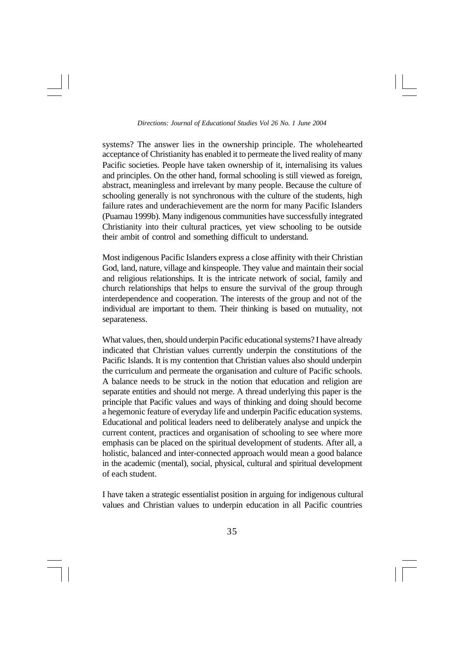systems? The answer lies in the ownership principle. The wholehearted acceptance of Christianity has enabled it to permeate the lived reality of many Pacific societies. People have taken ownership of it, internalising its values and principles. On the other hand, formal schooling is still viewed as foreign, abstract, meaningless and irrelevant by many people. Because the culture of schooling generally is not synchronous with the culture of the students, high failure rates and underachievement are the norm for many Pacific Islanders (Puamau 1999b). Many indigenous communities have successfully integrated Christianity into their cultural practices, yet view schooling to be outside their ambit of control and something difficult to understand.

Most indigenous Pacific Islanders express a close affinity with their Christian God, land, nature, village and kinspeople. They value and maintain their social and religious relationships. It is the intricate network of social, family and church relationships that helps to ensure the survival of the group through interdependence and cooperation. The interests of the group and not of the individual are important to them. Their thinking is based on mutuality, not separateness.

What values, then, should underpin Pacific educational systems? I have already indicated that Christian values currently underpin the constitutions of the Pacific Islands. It is my contention that Christian values also should underpin the curriculum and permeate the organisation and culture of Pacific schools. A balance needs to be struck in the notion that education and religion are separate entities and should not merge. A thread underlying this paper is the principle that Pacific values and ways of thinking and doing should become a hegemonic feature of everyday life and underpin Pacific education systems. Educational and political leaders need to deliberately analyse and unpick the current content, practices and organisation of schooling to see where more emphasis can be placed on the spiritual development of students. After all, a holistic, balanced and inter-connected approach would mean a good balance in the academic (mental), social, physical, cultural and spiritual development of each student.

I have taken a strategic essentialist position in arguing for indigenous cultural values and Christian values to underpin education in all Pacific countries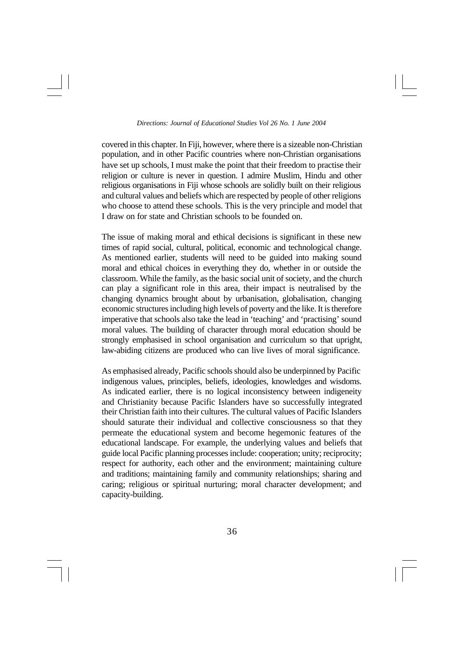covered in this chapter. In Fiji, however, where there is a sizeable non-Christian population, and in other Pacific countries where non-Christian organisations have set up schools, I must make the point that their freedom to practise their religion or culture is never in question. I admire Muslim, Hindu and other religious organisations in Fiji whose schools are solidly built on their religious and cultural values and beliefs which are respected by people of other religions who choose to attend these schools. This is the very principle and model that I draw on for state and Christian schools to be founded on.

The issue of making moral and ethical decisions is significant in these new times of rapid social, cultural, political, economic and technological change. As mentioned earlier, students will need to be guided into making sound moral and ethical choices in everything they do, whether in or outside the classroom. While the family, as the basic social unit of society, and the church can play a significant role in this area, their impact is neutralised by the changing dynamics brought about by urbanisation, globalisation, changing economic structures including high levels of poverty and the like. It is therefore imperative that schools also take the lead in 'teaching' and 'practising' sound moral values. The building of character through moral education should be strongly emphasised in school organisation and curriculum so that upright, law-abiding citizens are produced who can live lives of moral significance.

As emphasised already, Pacific schools should also be underpinned by Pacific indigenous values, principles, beliefs, ideologies, knowledges and wisdoms. As indicated earlier, there is no logical inconsistency between indigeneity and Christianity because Pacific Islanders have so successfully integrated their Christian faith into their cultures. The cultural values of Pacific Islanders should saturate their individual and collective consciousness so that they permeate the educational system and become hegemonic features of the educational landscape. For example, the underlying values and beliefs that guide local Pacific planning processes include: cooperation; unity; reciprocity; respect for authority, each other and the environment; maintaining culture and traditions; maintaining family and community relationships; sharing and caring; religious or spiritual nurturing; moral character development; and capacity-building.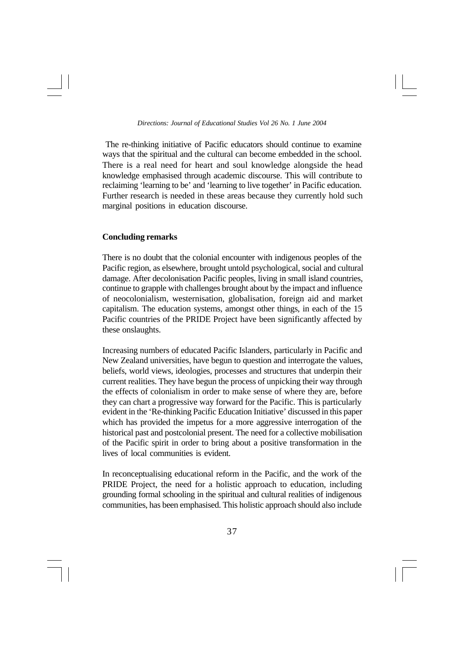The re-thinking initiative of Pacific educators should continue to examine ways that the spiritual and the cultural can become embedded in the school. There is a real need for heart and soul knowledge alongside the head knowledge emphasised through academic discourse. This will contribute to reclaiming 'learning to be' and 'learning to live together' in Pacific education. Further research is needed in these areas because they currently hold such marginal positions in education discourse.

## **Concluding remarks**

There is no doubt that the colonial encounter with indigenous peoples of the Pacific region, as elsewhere, brought untold psychological, social and cultural damage. After decolonisation Pacific peoples, living in small island countries, continue to grapple with challenges brought about by the impact and influence of neocolonialism, westernisation, globalisation, foreign aid and market capitalism. The education systems, amongst other things, in each of the 15 Pacific countries of the PRIDE Project have been significantly affected by these onslaughts.

Increasing numbers of educated Pacific Islanders, particularly in Pacific and New Zealand universities, have begun to question and interrogate the values, beliefs, world views, ideologies, processes and structures that underpin their current realities. They have begun the process of unpicking their way through the effects of colonialism in order to make sense of where they are, before they can chart a progressive way forward for the Pacific. This is particularly evident in the 'Re-thinking Pacific Education Initiative' discussed in this paper which has provided the impetus for a more aggressive interrogation of the historical past and postcolonial present. The need for a collective mobilisation of the Pacific spirit in order to bring about a positive transformation in the lives of local communities is evident.

In reconceptualising educational reform in the Pacific, and the work of the PRIDE Project, the need for a holistic approach to education, including grounding formal schooling in the spiritual and cultural realities of indigenous communities, has been emphasised. This holistic approach should also include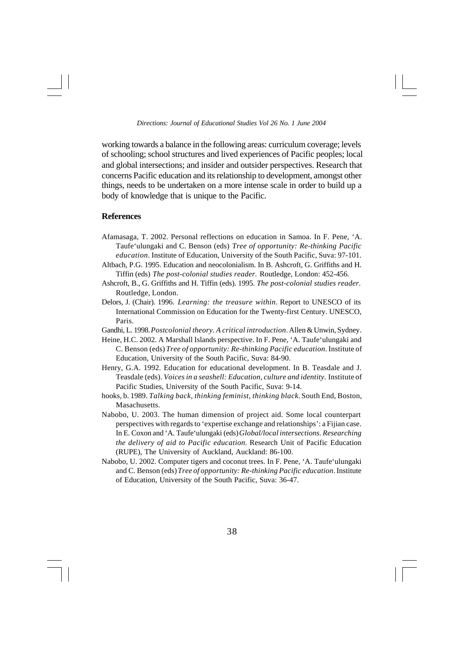working towards a balance in the following areas: curriculum coverage; levels of schooling; school structures and lived experiences of Pacific peoples; local and global intersections; and insider and outsider perspectives. Research that concerns Pacific education and its relationship to development, amongst other things, needs to be undertaken on a more intense scale in order to build up a body of knowledge that is unique to the Pacific.

## **References**

- Afamasaga, T. 2002. Personal reflections on education in Samoa. In F. Pene, 'A. Taufe'ulungaki and C. Benson (eds) *Tree of opportunity: Re-thinking Pacific education*. Institute of Education, University of the South Pacific, Suva: 97-101.
- Altbach, P.G. 1995. Education and neocolonialism. In B. Ashcroft, G. Griffiths and H. Tiffin (eds) *The post-colonial studies reader.* Routledge, London: 452-456.
- Ashcroft, B., G. Griffiths and H. Tiffin (eds). 1995. *The post-colonial studies reader.* Routledge, London.
- Delors, J. (Chair). 1996. *Learning: the treasure within.* Report to UNESCO of its International Commission on Education for the Twenty-first Century. UNESCO, Paris.
- Gandhi, L. 1998. *Postcolonial theory. A critical introduction*. Allen & Unwin, Sydney.
- Heine, H.C. 2002. A Marshall Islands perspective. In F. Pene, 'A. Taufe'ulungaki and C. Benson (eds) *Tree of opportunity: Re-thinking Pacific education*. Institute of Education, University of the South Pacific, Suva: 84-90.
- Henry, G.A. 1992. Education for educational development. In B. Teasdale and J. Teasdale (eds). *Voices in a seashell: Education, culture and identity.* Institute of Pacific Studies, University of the South Pacific, Suva: 9-14.
- hooks, b. 1989. *Talking back, thinking feminist, thinking black.* South End, Boston, Masachusetts.
- Nabobo, U. 2003. The human dimension of project aid. Some local counterpart perspectives with regards to 'expertise exchange and relationships': a Fijian case. In E. Coxon and 'A. Taufe'ulungaki (eds) *Global/local intersections. Researching the delivery of aid to Pacific education.* Research Unit of Pacific Education (RUPE), The University of Auckland, Auckland: 86-100.
- Nabobo, U. 2002. Computer tigers and coconut trees. In F. Pene, 'A. Taufe'ulungaki and C. Benson (eds) *Tree of opportunity: Re-thinking Pacific education*. Institute of Education, University of the South Pacific, Suva: 36-47.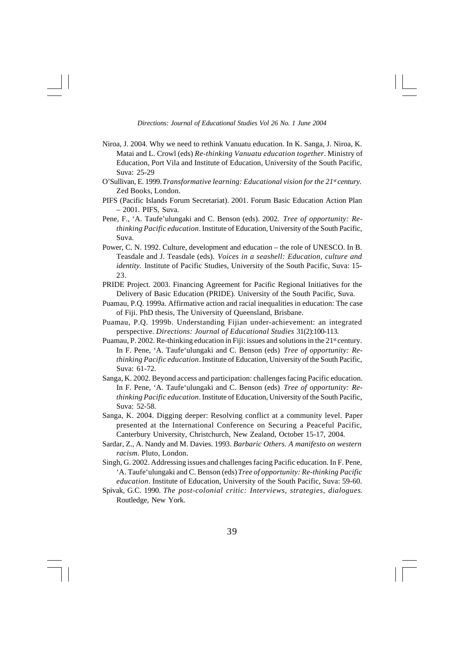- Niroa, J. 2004. Why we need to rethink Vanuatu education. In K. Sanga, J. Niroa, K. Matai and L. Crowl (eds) *Re-thinking Vanuatu education together*. Ministry of Education, Port Vila and Institute of Education, University of the South Pacific, Suva: 25-29
- O'Sullivan, E. 1999. *Transformative learning: Educational vision for the 21st century.* Zed Books, London.
- PIFS (Pacific Islands Forum Secretariat). 2001. Forum Basic Education Action Plan – 2001. PIFS, Suva.
- Pene, F., 'A. Taufe'ulungaki and C. Benson (eds). 2002. *Tree of opportunity: Rethinking Pacific education*. Institute of Education, University of the South Pacific, Suva.
- Power, C. N. 1992. Culture, development and education the role of UNESCO. In B. Teasdale and J. Teasdale (eds). *Voices in a seashell: Education, culture and identity.* Institute of Pacific Studies, University of the South Pacific, Suva: 15- 23.
- PRIDE Project. 2003. Financing Agreement for Pacific Regional Initiatives for the Delivery of Basic Education (PRIDE). University of the South Pacific, Suva.
- Puamau, P.Q. 1999a. Affirmative action and racial inequalities in education: The case of Fiji. PhD thesis, The University of Queensland, Brisbane.
- Puamau, P.Q. 1999b. Understanding Fijian under-achievement: an integrated perspective. *Directions: Journal of Educational Studies* 31(2):100-113.
- Puamau, P. 2002. Re-thinking education in Fiji: issues and solutions in the  $21<sup>st</sup>$  century. In F. Pene, 'A. Taufe'ulungaki and C. Benson (eds) *Tree of opportunity: Rethinking Pacific education*. Institute of Education, University of the South Pacific, Suva: 61-72.
- Sanga, K. 2002. Beyond access and participation: challenges facing Pacific education. In F. Pene, 'A. Taufe'ulungaki and C. Benson (eds) *Tree of opportunity: Rethinking Pacific education*. Institute of Education, University of the South Pacific, Suva: 52-58.
- Sanga, K. 2004. Digging deeper: Resolving conflict at a community level. Paper presented at the International Conference on Securing a Peaceful Pacific, Canterbury University, Christchurch, New Zealand, October 15-17, 2004.
- Sardar, Z., A. Nandy and M. Davies. 1993. *Barbaric Others. A manifesto on western racism*. Pluto, London.
- Singh, G. 2002. Addressing issues and challenges facing Pacific education. In F. Pene, 'A. Taufe'ulungaki and C. Benson (eds) *Tree of opportunity: Re-thinking Pacific education*. Institute of Education, University of the South Pacific, Suva: 59-60.
- Spivak, G.C. 1990. *The post-colonial critic: Interviews, strategies, dialogues*. Routledge, New York.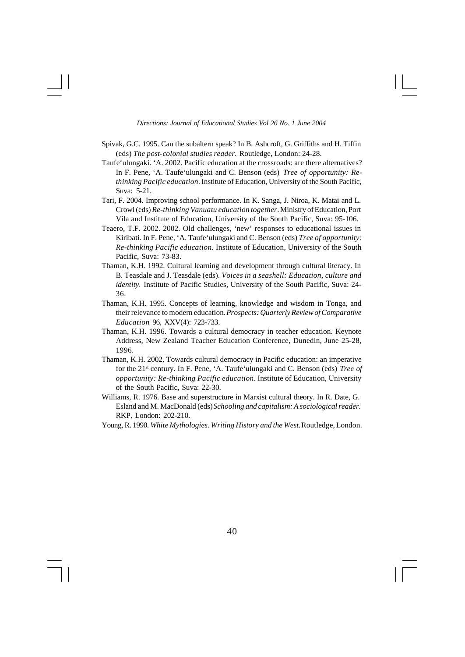- Spivak, G.C. 1995. Can the subaltern speak? In B. Ashcroft, G. Griffiths and H. Tiffin (eds) *The post-colonial studies reader.* Routledge, London: 24-28.
- Taufe'ulungaki. 'A. 2002. Pacific education at the crossroads: are there alternatives? In F. Pene, 'A. Taufe'ulungaki and C. Benson (eds) *Tree of opportunity: Rethinking Pacific education*. Institute of Education, University of the South Pacific, Suva: 5-21.
- Tari, F. 2004. Improving school performance. In K. Sanga, J. Niroa, K. Matai and L. Crowl (eds) *Re-thinking Vanuatu education together*. Ministry of Education, Port Vila and Institute of Education, University of the South Pacific, Suva: 95-106.
- Teaero, T.F. 2002. 2002. Old challenges, 'new' responses to educational issues in Kiribati. In F. Pene, 'A. Taufe'ulungaki and C. Benson (eds) *Tree of opportunity: Re-thinking Pacific education*. Institute of Education, University of the South Pacific, Suva: 73-83.
- Thaman, K.H. 1992. Cultural learning and development through cultural literacy. In B. Teasdale and J. Teasdale (eds). *Voices in a seashell: Education, culture and identity.* Institute of Pacific Studies, University of the South Pacific, Suva: 24- 36.
- Thaman, K.H. 1995. Concepts of learning, knowledge and wisdom in Tonga, and their relevance to modern education. *Prospects: Quarterly Review of Comparative Education* 96, XXV(4): 723-733.
- Thaman, K.H. 1996. Towards a cultural democracy in teacher education. Keynote Address, New Zealand Teacher Education Conference, Dunedin, June 25-28, 1996.
- Thaman, K.H. 2002. Towards cultural democracy in Pacific education: an imperative for the 21st century. In F. Pene, 'A. Taufe'ulungaki and C. Benson (eds) *Tree of opportunity: Re-thinking Pacific education*. Institute of Education, University of the South Pacific, Suva: 22-30.
- Williams, R. 1976. Base and superstructure in Marxist cultural theory. In R. Date, G. Esland and M. MacDonald (eds) *Schooling and capitalism: A sociological reader.* RKP, London: 202-210.
- Young, R. 1990. *White Mythologies. Writing History and the West.* Routledge, London.